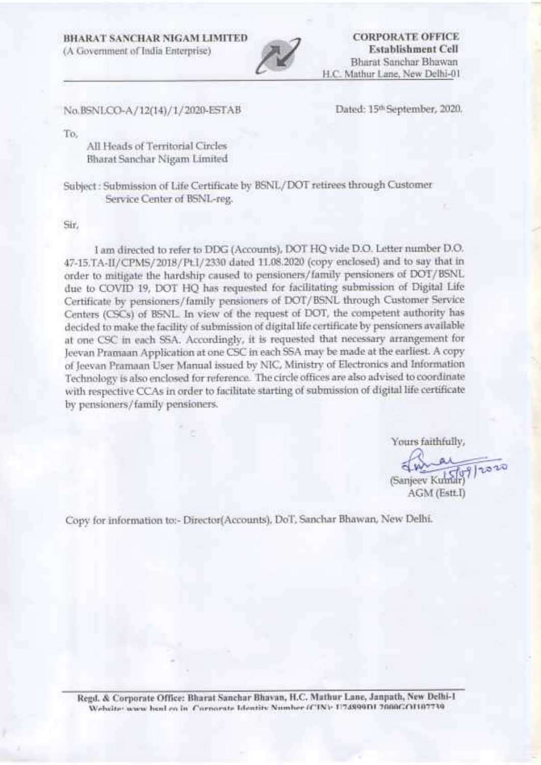BIIARA'T SANCHAR MGAM LIMITED

(A Govemment of India Enterprise)



**CORPORATE OFFICE** Establishment Cell Bharat Sanchar Bhawan H.C. Mathur Lane, New Delhi-0l

No. BSNLCo-A / 72(74) / 1. / 2020-ESTAB

Dated: 156 September, 2020.

To,

All Heads of Territorial Circles Bharat Sanchar Nigarn Limited

Subject : Submission of Ufe Certificate by BSNL/DOT retirees through Customer Service Center of BSNL-reg.

Srr,

I am directed to refer to DDG (Accounts), DOT HQ vide D.O. Letter number D.O. 47-15.TA-II/CPMS/2018/PtI/2330 dated 11.08.2020 (copy enclosed) and to say that in order to mitigate the hardship caused to pensioners/family pensioners of DOT/BSNL due to COVID 19, DOT HQ has requested for facilitating submission of Digital Life Certificate by pensioners/family pensioners of DOT/BSNL through Customer Service Centers (CSCs) of BSNL. In view of the request of DOT, the competent authority has decided to make the facility of submission of digital life certificate by pensioners available at one CSC in each SSA. Accordingly, it is requested that necessary arrangement for Jeevan Pramaan Application at one CSC in each SSA may be made at the earliest A copy of Jeevan Prarnaan User Manual issued by NIC, Ministry of Electronics and Information Technology is also enclosed for reference. The circle offices are also advised to coordinate with respective CCAs in order to facilitate starting of submission of digital life certificate by pensioners/family pensioners.

Yours faithfully,

(Sanjeev Kunidr) AGM (Estt.f

Copy for information to:- Director(Accounts), DoT, Sanchar Bhawan, New Delhi.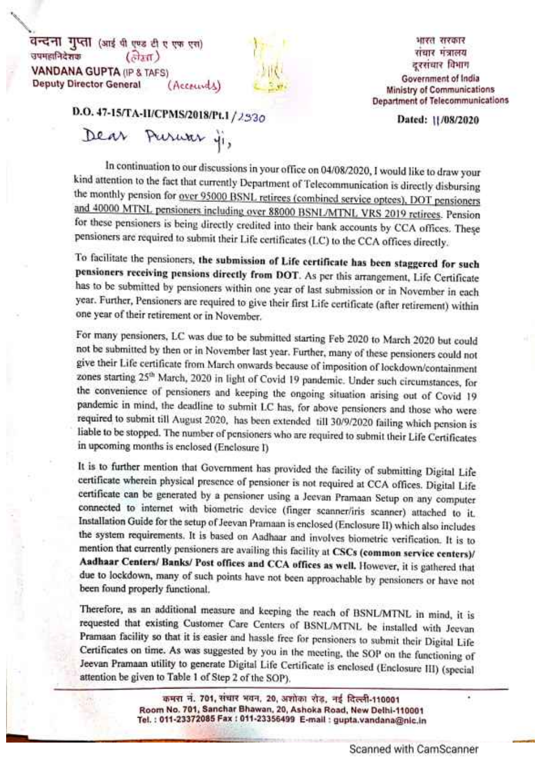वन्दना गुप्ता (आई थी एण्ड टी ए एफ एस) उपमहानिदेशक  $(\frac{\partial}{\partial x} \pi)$ **VANDANA GUPTA (IP & TAFS) Deputy Director General** (Accounts)



भारत सरकार संचार मंत्रालय दरसंचार विभाग Government of India **Ministry of Communications Department of Telecommunications** 

Dated: 11/08/2020

D.O. 47-15/TA-II/CPMS/2018/Pt.1 /2330

Dear Puruar ji,

In continuation to our discussions in your office on 04/08/2020, I would like to draw your kind attention to the fact that currently Department of Telecommunication is directly disbursing the monthly pension for over 95000 BSNL retirees (combined service optees), DOT pensioners and 40000 MTNL pensioners including over 88000 BSNL/MTNL VRS 2019 retirees. Pension for these pensioners is being directly credited into their bank accounts by CCA offices. These pensioners are required to submit their Life certificates (LC) to the CCA offices directly.

To facilitate the pensioners, the submission of Life certificate has been staggered for such pensioners receiving pensions directly from DOT. As per this arrangement, Life Certificate has to be submitted by pensioners within one year of last submission or in November in each year. Further, Pensioners are required to give their first Life certificate (after retirement) within one year of their retirement or in November.

For many pensioners, LC was due to be submitted starting Feb 2020 to March 2020 but could not be submitted by then or in November last year. Further, many of these pensioners could not give their Life certificate from March onwards because of imposition of lockdown/containment zones starting 25<sup>th</sup> March, 2020 in light of Covid 19 pandemic. Under such circumstances, for the convenience of pensioners and keeping the ongoing situation arising out of Covid 19 pandemic in mind, the deadline to submit LC has, for above pensioners and those who were required to submit till August 2020, has been extended till 30/9/2020 failing which pension is liable to be stopped. The number of pensioners who are required to submit their Life Certificates in upcoming months is enclosed (Enclosure I)

It is to further mention that Government has provided the facility of submitting Digital Life certificate wherein physical presence of pensioner is not required at CCA offices. Digital Life certificate can be generated by a pensioner using a Jeevan Pramaan Setup on any computer connected to internet with biometric device (finger scanner/iris scanner) attached to it. Installation Guide for the setup of Jeevan Pramaan is enclosed (Enclosure II) which also includes the system requirements. It is based on Aadhaar and involves biometric verification. It is to mention that currently pensioners are availing this facility at CSCs (common service centers)/ Aadhaar Centers/ Banks/ Post offices and CCA offices as well. However, it is gathered that due to lockdown, many of such points have not been approachable by pensioners or have not been found properly functional.

Therefore, as an additional measure and keeping the reach of BSNL/MTNL in mind, it is requested that existing Customer Care Centers of BSNL/MTNL be installed with Jeevan Pramaan facility so that it is easier and hassle free for pensioners to submit their Digital Life Certificates on time. As was suggested by you in the meeting, the SOP on the functioning of Jeevan Pramaan utility to generate Digital Life Certificate is enclosed (Enclosure III) (special attention be given to Table 1 of Step 2 of the SOP).

> कमरा नं. 701, संचार भवन, 20, अशोका रोड, नई दिल्ली-110001 Room No. 701, Sanchar Bhawan, 20, Ashoka Road, New Delhi-110001 Tel.: 011-23372085 Fax: 011-23356499 E-mail: gupta.vandana@nic.in

×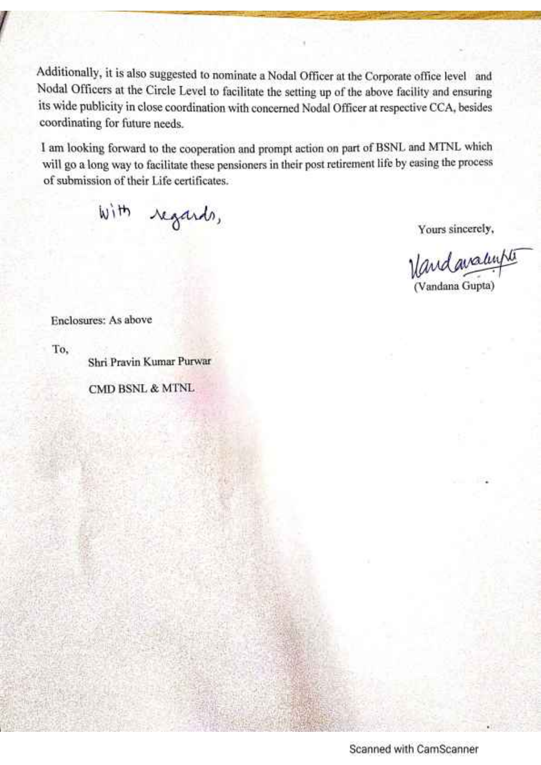Additionally, it is also suggested to nominate a Nodal Officer at the Corporate office level and Nodal Officers at the Circle Level to facilitate the setting up of the above facility and ensuring its wide publicity in close coordination with concerned Nodal Officer at respective CCA, besides coordinating for future needs.

I am looking forward to the cooperation and prompt action on part of BSNL and MTNL which will go a long way to facilitate these pensioners in their post retirement life by easing the process of submission of their Life certificates.

with regards,

Yours sincerely,

Vandavalupte (Vandana Gupta)

Enclosures: As above

To.

Shri Pravin Kumar Purwar

**CMD BSNL & MTNL** 

Scanned with CamScanner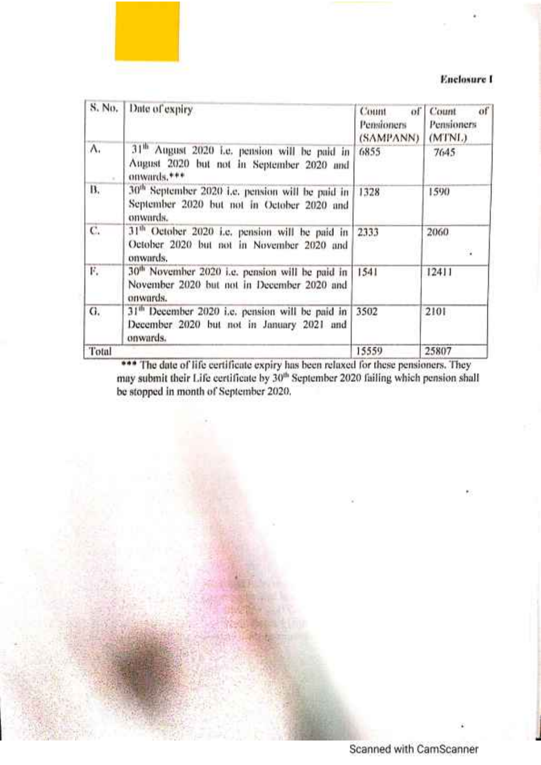#### **Enclosure I**

| S. No. | Date of expiry                                                                                                         | Count<br>of<br>Pensioners<br>(SAMPANN) | of<br>Count<br>Pensioners<br>(MTNL) |
|--------|------------------------------------------------------------------------------------------------------------------------|----------------------------------------|-------------------------------------|
| Λ.     | 31 <sup>th</sup> August 2020 Le. pension will be paid in<br>August 2020 but not in September 2020 and<br>onwards,***   | 6855                                   | 7645                                |
| В.     | 30 <sup>th</sup> September 2020 i.e. pension will be paid in<br>September 2020 but not in October 2020 and<br>onwards. | 1328                                   | 1590                                |
| C.     | 31 <sup>th</sup> October 2020 i.e. pension will be paid in<br>October 2020 but not in November 2020 and<br>onwards.    | 2333                                   | 2060<br>32                          |
| F.     | 30 <sup>th</sup> November 2020 i.e. pension will be paid in<br>November 2020 but not in December 2020 and<br>onwards.  | 1541                                   | 12411                               |
| G.     | 31 <sup>th</sup> December 2020 i.e. pension will be paid in<br>December 2020 but not in January 2021 and<br>onwards.   | 3502                                   | 2101                                |
| Total  |                                                                                                                        | 15559                                  | 25807                               |

\*\*\* The date of life certificate expiry has been relaxed for these pensioners. They may submit their Life certificate by 30th September 2020 failing which pension shall be stopped in month of September 2020.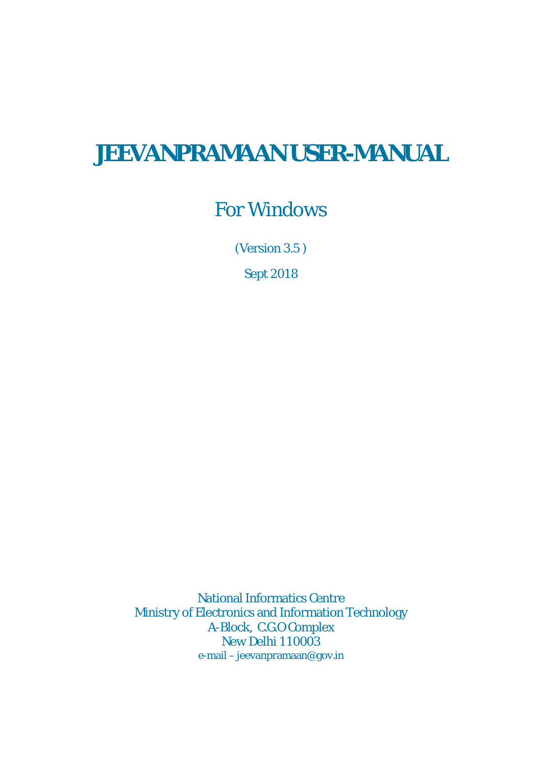# **JEEVANPRAMAAN USER-MANUAL**

# For Windows

(Version 3.5 )

Sept 2018

National Informatics Centre Ministry of Electronics and Information Technology A-Block, C.G.O Complex New Delhi 110003 e-mail – jeevanpramaan@gov.in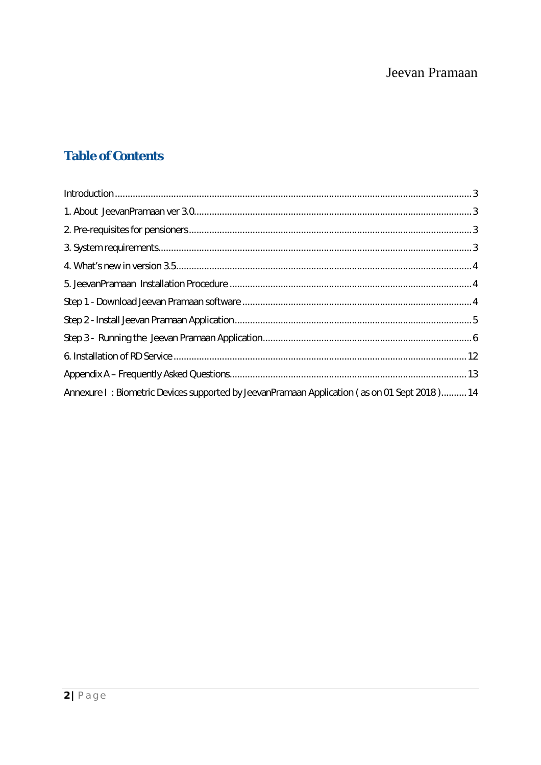# **Table of Contents**

| Annexure I: Biometric Devices supported by JeevanPramaan Application (as on 01 Sept 2018) 14 |  |
|----------------------------------------------------------------------------------------------|--|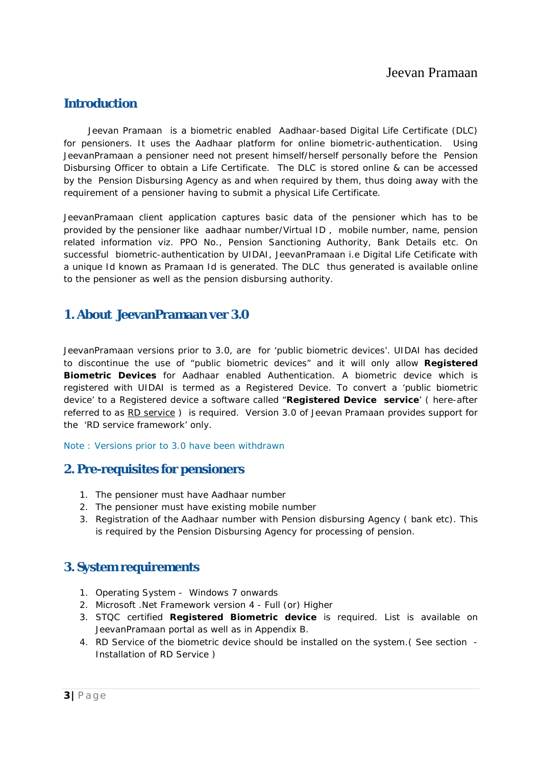### **Introduction**

 *Jeevan Pramaan* is a biometric enabled Aadhaar-based Digital Life Certificate (DLC) for pensioners. It uses the Aadhaar platform for online biometric-authentication. Using JeevanPramaan a pensioner need not present himself/herself personally before the Pension Disbursing Officer to obtain a Life Certificate. The DLC is stored online & can be accessed by the Pension Disbursing Agency as and when required by them, thus doing away with the requirement of a pensioner having to submit a physical Life Certificate.

JeevanPramaan client application captures basic data of the pensioner which has to be provided by the pensioner like aadhaar number/Virtual ID , mobile number, name, pension related information viz. PPO No., Pension Sanctioning Authority, Bank Details etc. On successful biometric-authentication by UIDAI, JeevanPramaan i.e Digital Life Cetificate with a unique Id known as Pramaan Id is generated. The DLC thus generated is available online to the pensioner as well as the pension disbursing authority.

### **1. About JeevanPramaan ver 3.0**

JeevanPramaan versions prior to 3.0, are for 'public biometric devices'. UIDAI has decided to discontinue the use of "public biometric devices" and it will only allow *Registered Biometric Devices* for Aadhaar enabled Authentication. A biometric device which is registered with UIDAI is termed as a Registered Device. To convert a 'public biometric device' to a Registered device a software called "*Registered Device service*' ( here-after referred to as *RD service* ) is required. Version 3.0 of Jeevan Pramaan provides support for the 'RD service framework' only.

*Note : Versions prior to 3.0 have been withdrawn* 

### **2. Pre-requisites for pensioners**

- 1. The pensioner must have Aadhaar number
- 2. The pensioner must have existing mobile number
- 3. Registration of the Aadhaar number with Pension disbursing Agency ( bank etc). This is required by the Pension Disbursing Agency for processing of pension.

### **3. System requirements**

- 1. Operating System Windows 7 onwards
- 2. Microsoft .Net Framework version 4 Full (or) Higher
- 3. STQC certified **Registered Biometric device** is required. List is available on JeevanPramaan portal as well as in Appendix B.
- 4. *RD Service* of the biometric device should be installed on the system.( See section Installation of RD Service )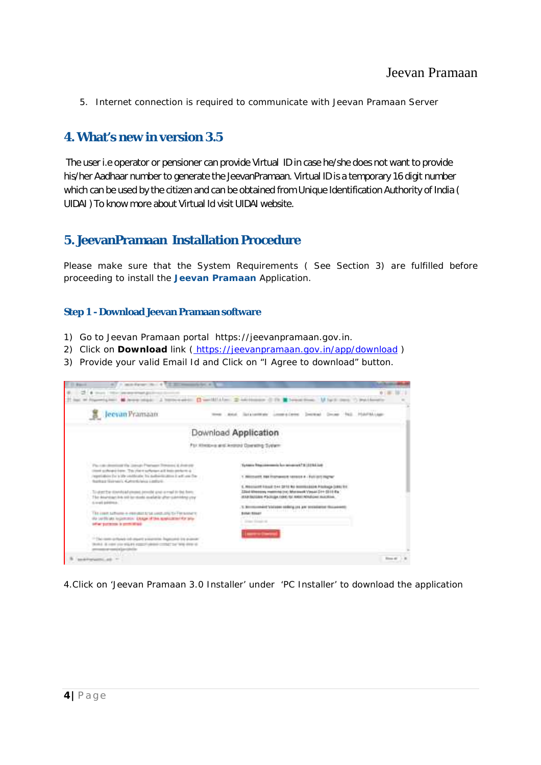5. Internet connection is required to communicate with Jeevan Pramaan Server

### **4. What's new in version 3.5**

The user i.e operator or pensioner can provide Virtual ID in case he/she does not want to provide his/her Aadhaar number to generate the JeevanPramaan. Virtual ID is a temporary 16 digit number which can be used by the citizen and can be obtained from Unique Identification Authority of India ( UIDAI ) To know more about Virtual Id visit UIDAI website.

### **5. JeevanPramaan Installation Procedure**

Please make sure that the System Requirements ( See Section 3) are fulfilled before proceeding to install the **Jeevan Pramaan** Application.

#### **Step 1 - Download Jeevan Pramaan software**

- 1) Go to Jeevan Pramaan portal https://jeevanpramaan.gov.in.
- 2) Click on **Download** link ( https://jeevanpramaan.gov.in/app/download )
- 3) Provide your valid Email Id and Click on "I Agree to download" button.



4.Click on 'Jeevan Pramaan 3.0 Installer' under 'PC Installer' to download the application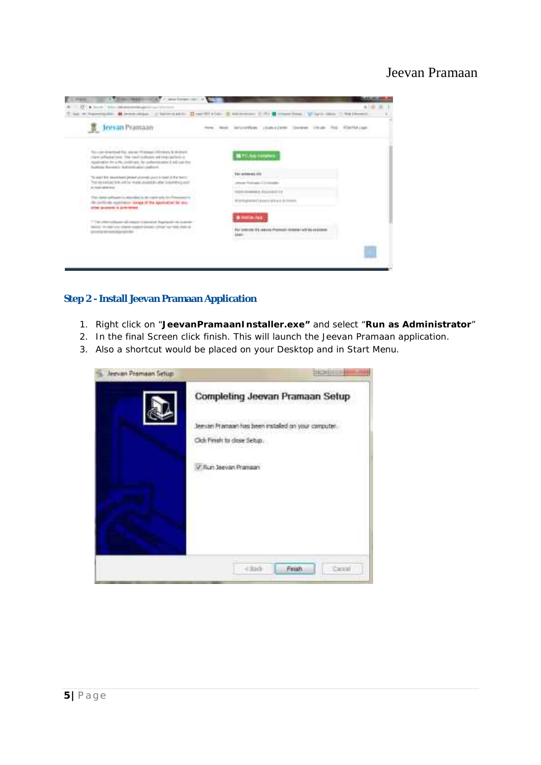

#### **Step 2 - Install Jeevan Pramaan Application**

- 1. Right click on "**JeevanPramaanInstaller.exe"** and select "**Run as Administrator**"
- 2. In the final Screen click finish. This will launch the Jeevan Pramaan application.
- 3. Also a shortcut would be placed on your Desktop and in Start Menu.

| Jeevan Pramaan Setup: |                                                     |
|-----------------------|-----------------------------------------------------|
|                       | Completing Jeevan Pramaan Setup                     |
|                       | leevan Pramaan has been installed on your computer. |
|                       | Click Finish to close Setus.                        |
|                       | V.Run Jeevan Pramaan                                |
|                       |                                                     |
|                       |                                                     |
|                       |                                                     |
|                       |                                                     |
|                       | Fessh<br>Detail                                     |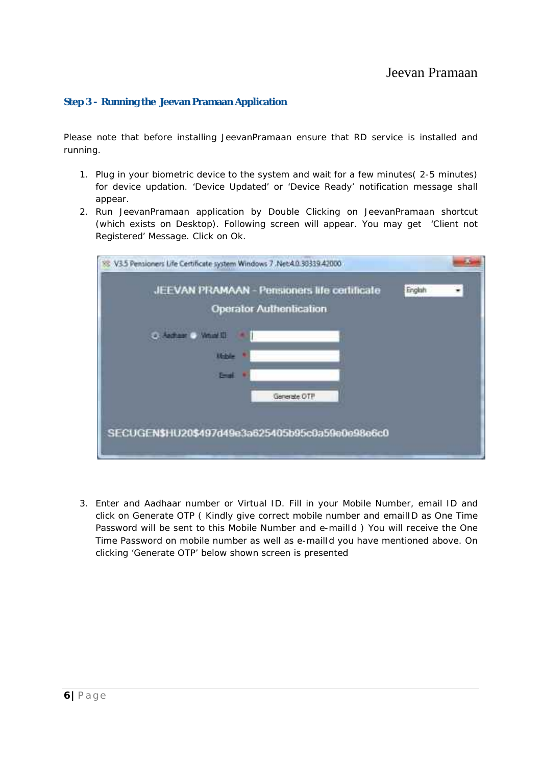#### **Step 3 - Running the Jeevan Pramaan Application**

Please note that before installing JeevanPramaan ensure that RD service is installed and running.

- 1. Plug in your biometric device to the system and wait for a few minutes( 2-5 minutes) for device updation. '*Device Updated*' or '*Device Ready*' notification message shall appear.
- 2. Run JeevanPramaan application by Double Clicking on JeevanPramaan shortcut (which exists on Desktop). Following screen will appear. You may get 'Client not Registered' Message. Click on Ok.

| JEEVAN PRAMAAN - Pensioners life certificate<br><b>Operator Authontication</b> | Englah |  |
|--------------------------------------------------------------------------------|--------|--|
|                                                                                |        |  |
| <b>Uchle</b>                                                                   |        |  |
| <b>Emil</b>                                                                    |        |  |
| Generate OTP                                                                   |        |  |
|                                                                                |        |  |
| SECUGEN\$HU20\$497d49e3a625405b95c0a59e0e98e6c0                                |        |  |

3. Enter and Aadhaar number or Virtual ID. Fill in your Mobile Number, email ID and click on *Generate OTP* ( Kindly give correct mobile number and emailID as One Time Password will be sent to this Mobile Number and e-mailId ) You will receive the *One Time Password* on mobile number as well as e-mailId you have mentioned above. On clicking 'Generate OTP' below shown screen is presented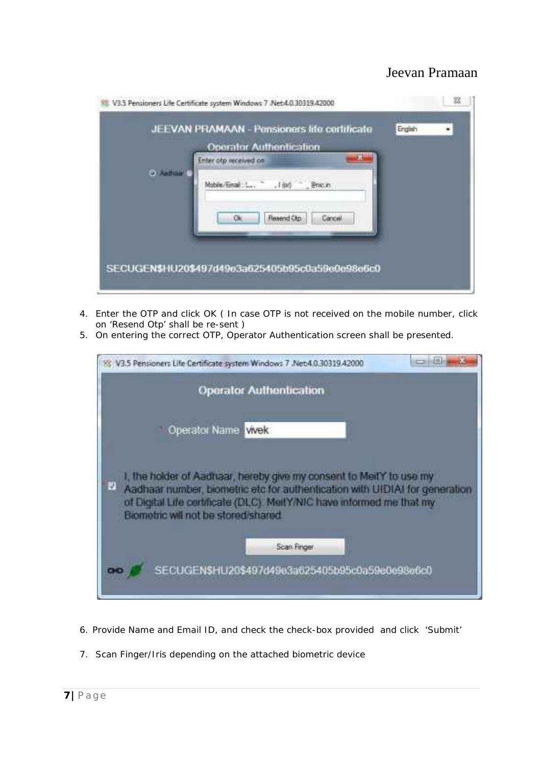

- 4. Enter the OTP and click OK ( In case OTP is not received on the mobile number, click on 'Resend Otp' shall be re-sent )
- 5. On entering the correct OTP, Operator Authentication screen shall be presented.



- 6. Provide Name and Email ID, and check the check-box provided and click 'Submit'
- 7. Scan Finger/Iris depending on the attached biometric device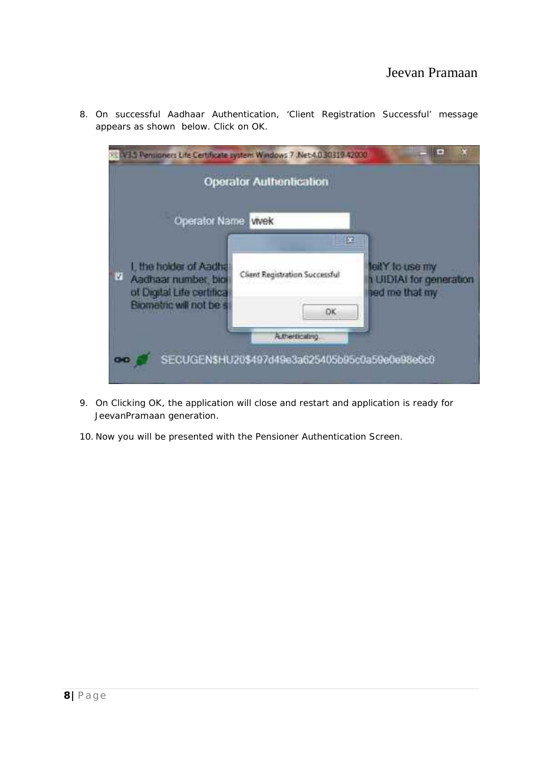|                                                                                  | <b>Operator Authentication</b> |                                                              |
|----------------------------------------------------------------------------------|--------------------------------|--------------------------------------------------------------|
| Operator Name. Wek                                                               |                                |                                                              |
| I, the holder of Aadha<br>ù<br>Aadhaar number, biol<br>of Digital Life certifica | Client Registration Successful | leitY to use my<br>1 UIDIAI for generation<br>hed me that my |
| Biometric will not be s                                                          | DK<br>Athenticating            |                                                              |

8. On successful Aadhaar Authentication, 'Client Registration Successful' message appears as shown below. Click on OK.

- 9. On Clicking OK, the application will close and restart and application is ready for JeevanPramaan generation.
- 10. Now you will be presented with the Pensioner Authentication Screen.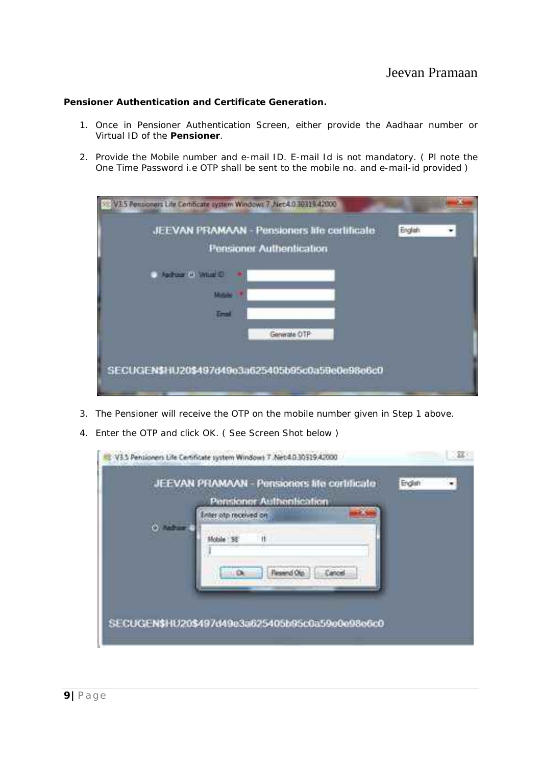#### **Pensioner Authentication and Certificate Generation.**

- 1. Once in Pensioner Authentication Screen, either provide the Aadhaar number or Virtual ID of the **Pensioner**.
- 2. Provide the Mobile number and e-mail ID. E-mail Id is not mandatory. ( Pl note the One Time Password i.e OTP shall be sent to the mobile no. and e-mail-id provided )

| V3.5 Pensioners Life Centificate system Windows 7 Net4 03031942000                  |  |
|-------------------------------------------------------------------------------------|--|
| JEEVAN PRAMAAN - Pensioners life certificate<br>English<br>Pensioner Authentication |  |
| Address in William O                                                                |  |
| Motive                                                                              |  |
| Tral                                                                                |  |
| Generate OTP                                                                        |  |
|                                                                                     |  |
| SECUGEN\$HU20\$497d49e3a625405b95c0a59e0e98e6c0                                     |  |

- 3. The Pensioner will receive the OTP on the mobile number given in Step 1 above.
- 4. Enter the OTP and click OK. ( See Screen Shot below )

|    | JEEVAN PRAMAAN - Pensioners life certificate<br>Pensioner Authentication | Endat | <b>ISO</b> |
|----|--------------------------------------------------------------------------|-------|------------|
|    | Inter alp received on                                                    |       |            |
| ô. |                                                                          |       |            |
|    |                                                                          |       |            |
|    |                                                                          |       |            |
|    |                                                                          |       |            |
|    |                                                                          |       |            |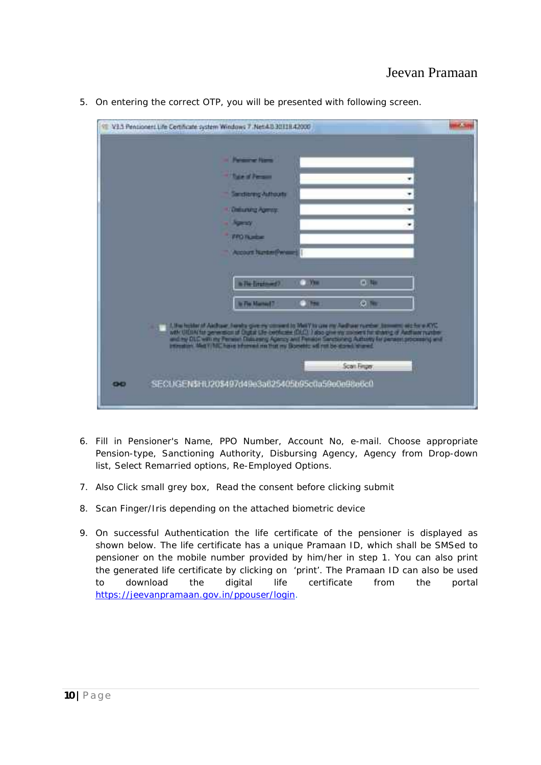| <b>Christmas Forms</b>                                                                                                                                                                                                         |             |  |
|--------------------------------------------------------------------------------------------------------------------------------------------------------------------------------------------------------------------------------|-------------|--|
| The of Person                                                                                                                                                                                                                  |             |  |
| Sanctioning Authority                                                                                                                                                                                                          |             |  |
| <b>Limitaring Agents</b>                                                                                                                                                                                                       |             |  |
| <b>Special</b>                                                                                                                                                                                                                 |             |  |
| <b>FROTABLE</b>                                                                                                                                                                                                                |             |  |
| <b>Account Nunser(Person)</b>                                                                                                                                                                                                  |             |  |
|                                                                                                                                                                                                                                |             |  |
| $-100$<br>in The Employment?                                                                                                                                                                                                   | <b>HELE</b> |  |
| in The Married?<br>$-100$                                                                                                                                                                                                      | $\theta$    |  |
|                                                                                                                                                                                                                                |             |  |
| was distributed by the first of Capital Construction (Mary In any one Authority Construction 2004) and the U.S. Construction of Capital Construction (DAC) in the growth of Capital Construction (Mary 2004) and The main Cons |             |  |
|                                                                                                                                                                                                                                |             |  |
|                                                                                                                                                                                                                                | Scan Finger |  |
|                                                                                                                                                                                                                                |             |  |

5. On entering the correct OTP, you will be presented with following screen.

- 6. Fill in Pensioner's Name, PPO Number, Account No, e-mail. Choose appropriate Pension-type, Sanctioning Authority, Disbursing Agency, Agency from Drop-down list, Select Remarried options, Re-Employed Options.
- 7. Also Click small grey box, Read the consent before clicking submit
- 8. Scan Finger/Iris depending on the attached biometric device
- 9. On successful Authentication the life certificate of the pensioner is displayed as shown below. The life certificate has a unique Pramaan ID, which shall be SMSed to pensioner on the mobile number provided by him/her in step 1. You can also print the generated life certificate by clicking on 'print'. The Pramaan ID can also be used to download the digital life certificate from the portal https://jeevanpramaan.gov.in/ppouser/login.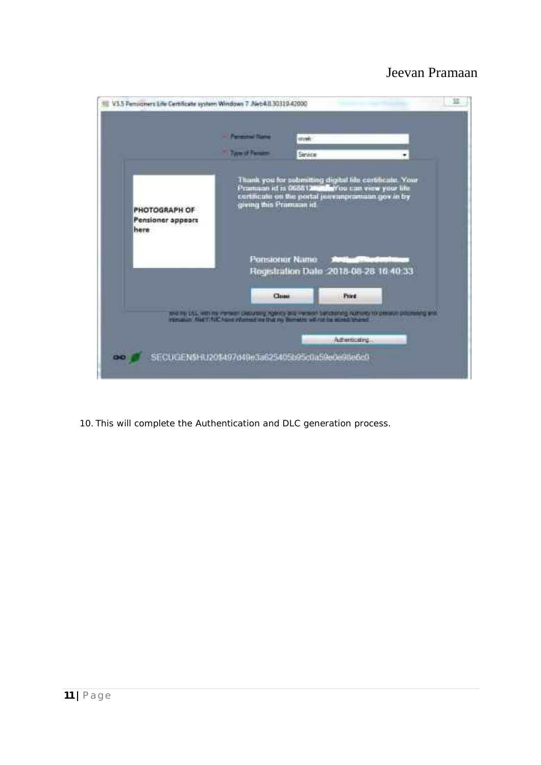

10. This will complete the Authentication and DLC generation process.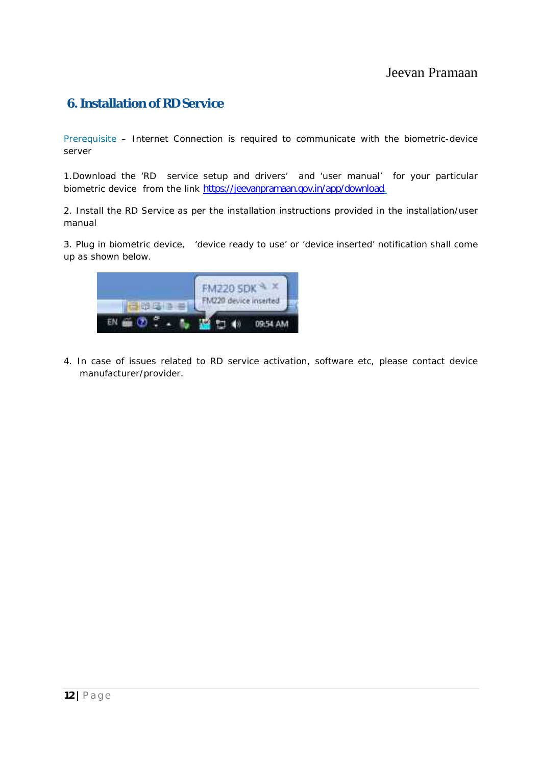# **6. Installation of RD Service**

Prerequisite – Internet Connection is required to communicate with the biometric-device server

1.Download the '*RD service setup and drivers'* and '*user manual*' for your particular biometric device from the link https://jeevanpramaan.gov.in/app/download.

2. Install the RD Service as per the installation instructions provided in the installation/user manual

3. Plug in biometric device, 'device ready to use' or 'device inserted' notification shall come up as shown below.



4. In case of issues related to RD service activation, software etc, please contact device manufacturer/provider.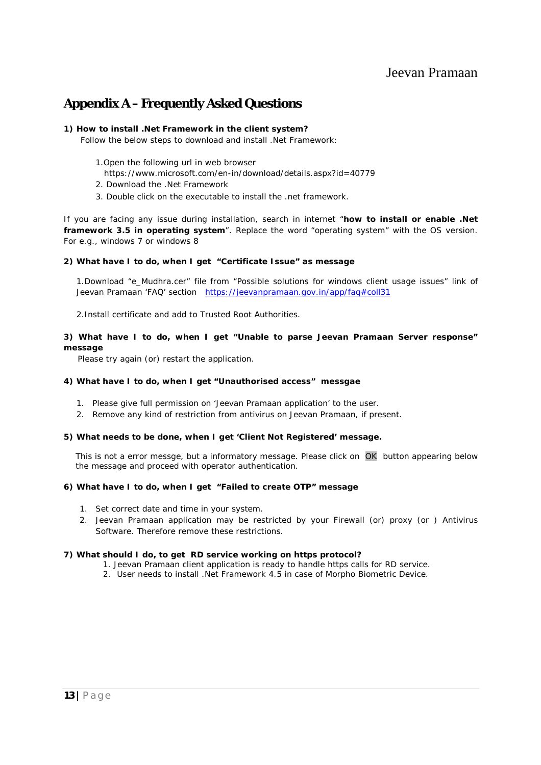### **Appendix A – Frequently Asked Questions**

#### **1) How to install .Net Framework in the client system?**

Follow the below steps to download and install .Net Framework:

- 1.Open the following url in web browser
- https://www.microsoft.com/en-in/download/details.aspx?id=40779
- 2. Download the .Net Framework
- 3. Double click on the executable to install the .net framework.

If you are facing any issue during installation, search in internet "**how to install or enable .Net framework 3.5 in operating system**". Replace the word "operating system" with the OS version. For e.g., windows 7 or windows 8

#### **2) What have I to do, when I get "Certificate Issue" as message**

1.Download "e\_Mudhra.cer" file from "Possible solutions for windows client usage issues" link of Jeevan Pramaan 'FAQ' section https://jeevanpramaan.gov.in/app/faq#coll31

2.Install certificate and add to Trusted Root Authorities.

#### **3) What have I to do, when I get "Unable to parse Jeevan Pramaan Server response" message**

Please try again (or) restart the application.

#### **4) What have I to do, when I get "Unauthorised access" messgae**

- 1. Please give full permission on 'Jeevan Pramaan application' to the user.
- 2. Remove any kind of restriction from antivirus on Jeevan Pramaan, if present.

#### **5) What needs to be done, when I get 'Client Not Registered' message.**

This is not a error messge, but a informatory message. Please click on OK button appearing below the message and proceed with operator authentication.

#### **6) What have I to do, when I get "Failed to create OTP" message**

- 1. Set correct date and time in your system.
- 2. Jeevan Pramaan application may be restricted by your Firewall (or) proxy (or ) Antivirus Software. Therefore remove these restrictions.

#### **7) What should I do, to get RD service working on https protocol?**

- 1. Jeevan Pramaan client application is ready to handle https calls for RD service.
- 2. User needs to install .Net Framework 4.5 in case of Morpho Biometric Device.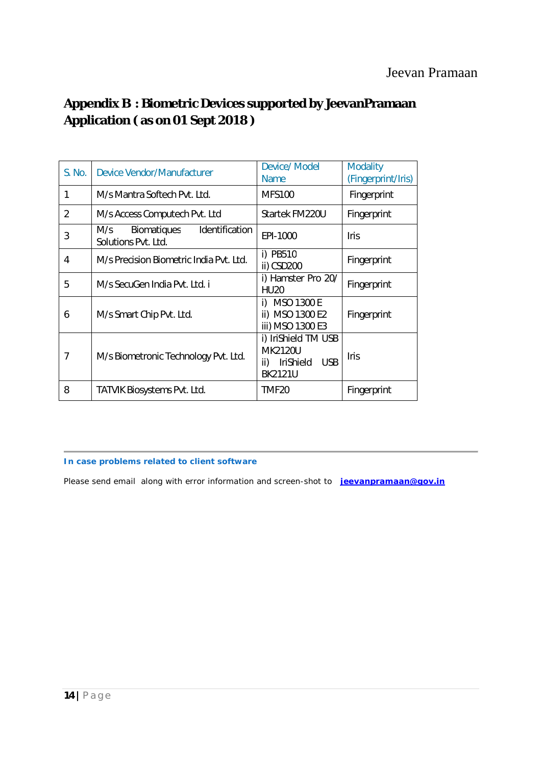# **Appendix B : Biometric Devices supported by JeevanPramaan Application ( as on 01 Sept 2018 )**

| <b>S. No.</b>  | <b>Device Vendor/Manufacturer</b>                                  | <b>Device/ Model</b><br><b>Name</b>                                                              | <b>Modality</b><br>(Fingerprint/Iris) |
|----------------|--------------------------------------------------------------------|--------------------------------------------------------------------------------------------------|---------------------------------------|
| 1              | M/s Mantra Softech Pyt. Ltd.                                       | <b>MFS100</b>                                                                                    | Fingerprint                           |
| $\overline{2}$ | M/s Access Computech Pvt. Ltd                                      | Startek FM220U                                                                                   | Fingerprint                           |
| 3              | Identification<br><b>Biomatiques</b><br>M/s<br>Solutions Pvt. Ltd. | EPI-1000                                                                                         | <b>Iris</b>                           |
| 4              | M/s Precision Biometric India Pvt. Ltd.                            | i) PB510<br>ii) CSD200                                                                           | Fingerprint                           |
| 5              | M/s SecuGen India Pyt. Ltd. i                                      | i) Hamster Pro 20/<br><b>HU20</b>                                                                | Fingerprint                           |
| 6              | M/s Smart Chip Pvt. Ltd.                                           | <b>MSO 1300 E</b><br>i)<br>ii) MSO 1300 E2<br>iii) MSO 1300 E3                                   | Fingerprint                           |
| 7              | M/s Biometronic Technology Pvt. Ltd.                               | i) IriShield TM USB<br><b>MK2120U</b><br><b>USB</b><br><b>IriShield</b><br>ii)<br><b>BK2121U</b> | <b>Iris</b>                           |
| 8              | <b>TATVIK Biosystems Pvt. Ltd.</b>                                 | TMF <sub>20</sub>                                                                                | Fingerprint                           |

#### **In case problems related to client software**

Please send email along with error information and screen-shot to **jeevanpramaan@gov.in**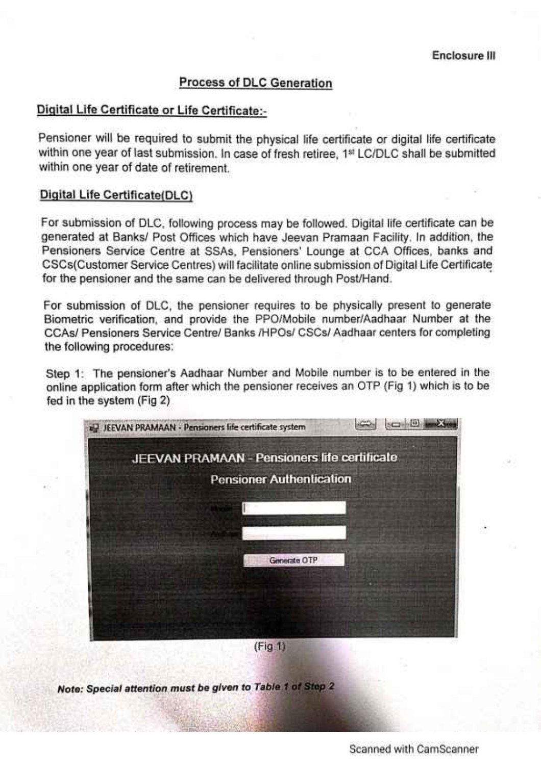### **Process of DLC Generation**

# Digital Life Certificate or Life Certificate:-

Pensioner will be required to submit the physical life certificate or digital life certificate within one year of last submission. In case of fresh retiree, 1st LC/DLC shall be submitted within one year of date of retirement.

#### Digital Life Certificate(DLC)

For submission of DLC, following process may be followed. Digital life certificate can be generated at Banks/ Post Offices which have Jeevan Pramaan Facility. In addition, the Pensioners Service Centre at SSAs, Pensioners' Lounge at CCA Offices, banks and CSCs(Customer Service Centres) will facilitate online submission of Digital Life Certificate for the pensioner and the same can be delivered through Post/Hand.

For submission of DLC, the pensioner requires to be physically present to generate Biometric verification, and provide the PPO/Mobile number/Aadhaar Number at the CCAs/ Pensioners Service Centre/ Banks /HPOs/ CSCs/ Aadhaar centers for completing the following procedures:

Step 1: The pensioner's Aadhaar Number and Mobile number is to be entered in the online application form after which the pensioner receives an OTP (Fig 1) which is to be fed in the system (Fig 2)



Note: Special attention must be given to Table 1 of Step 2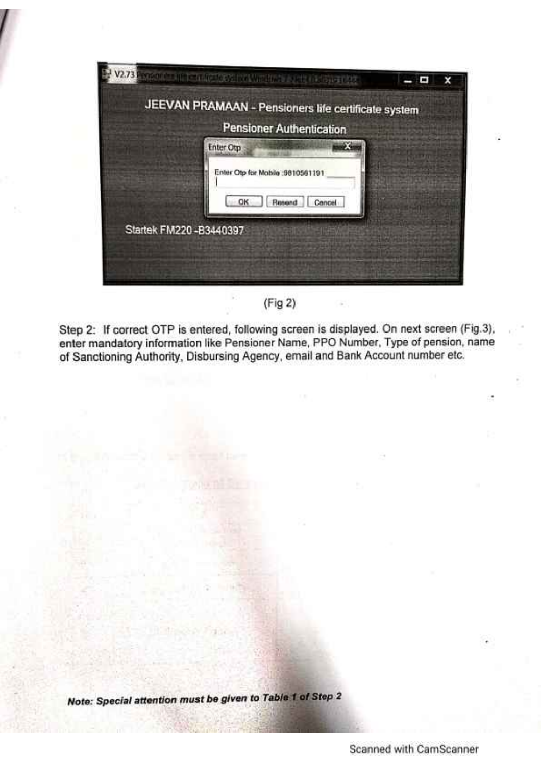|                          | JEEVAN PRAMAAN - Pensioners life certificate system |  |
|--------------------------|-----------------------------------------------------|--|
|                          | <b>Pensioner Authentication</b>                     |  |
|                          | <b>Enter Otp</b>                                    |  |
|                          | Enter Otp for Mobile :9810561191                    |  |
|                          | ОК<br>Resend<br>Cancel                              |  |
| Startek FM220 - B3440397 |                                                     |  |
|                          |                                                     |  |

 $(Fig 2)$ 

Step 2: If correct OTP is entered, following screen is displayed. On next screen (Fig.3), enter mandatory information like Pensioner Name, PPO Number, Type of pension, name of Sanctioning Authority, Disbursing Agency, email and Bank Account number etc.

Note: Special attention must be given to Table 1 of Step 2

Scanned with CamScanner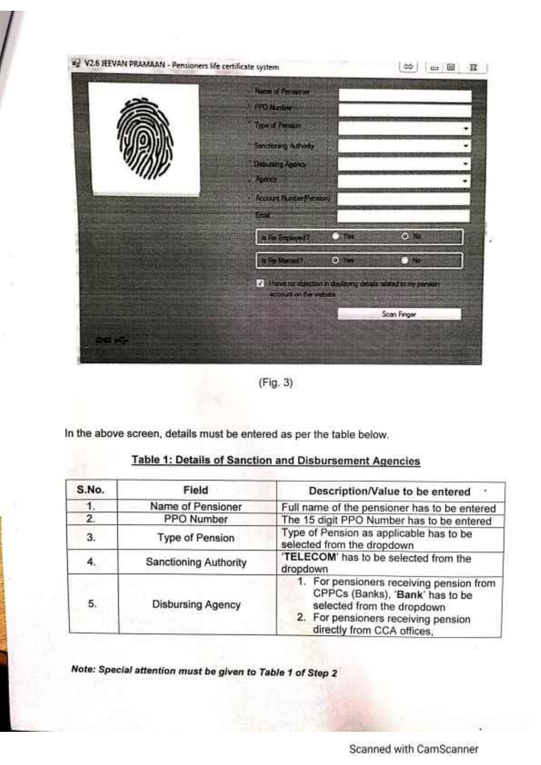

 $(Fig. 3)$ 

In the above screen, details must be entered as per the table below.

| Table 1: Details of Sanction and Disbursement Agencies |  |  |
|--------------------------------------------------------|--|--|
|                                                        |  |  |

| S.No. | Field                        | Description/Value to be entered                                                                                                                                                |  |
|-------|------------------------------|--------------------------------------------------------------------------------------------------------------------------------------------------------------------------------|--|
|       | Name of Pensioner            | Full name of the pensioner has to be entered                                                                                                                                   |  |
| 2.    | PPO Number                   | The 15 digit PPO Number has to be entered                                                                                                                                      |  |
| 3.    | <b>Type of Pension</b>       | Type of Pension as applicable has to be<br>selected from the dropdown                                                                                                          |  |
| 4.    | <b>Sanctioning Authority</b> | 'TELECOM' has to be selected from the<br>dropdown                                                                                                                              |  |
| 5.    | <b>Disbursing Agency</b>     | 1. For pensioners receiving pension from<br>CPPCs (Banks), 'Bank' has to be<br>selected from the dropdown<br>2. For pensioners receiving pension<br>directly from CCA offices, |  |

Note: Special attention must be given to Table 1 of Step 2

Scanned with CamScanner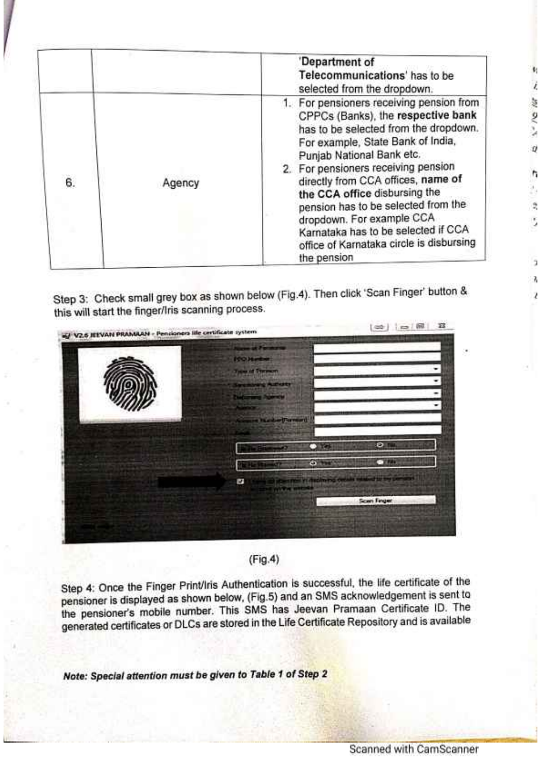|    |        | 'Department of<br>Telecommunications' has to be<br>selected from the dropdown.                                                                                                                                                                                                                                                                                                                                                                                                |
|----|--------|-------------------------------------------------------------------------------------------------------------------------------------------------------------------------------------------------------------------------------------------------------------------------------------------------------------------------------------------------------------------------------------------------------------------------------------------------------------------------------|
| 6. | Agency | 1. For pensioners receiving pension from<br>CPPCs (Banks), the respective bank<br>has to be selected from the dropdown.<br>For example, State Bank of India,<br>Punjab National Bank etc.<br>2. For pensioners receiving pension<br>directly from CCA offices, name of<br>the CCA office disbursing the<br>pension has to be selected from the<br>dropdown. For example CCA<br>Karnataka has to be selected if CCA<br>office of Karnataka circle is disbursing<br>the pension |

Step 3: Check small grey box as shown below (Fig.4). Then click 'Scan Finger' button & this will start the finger/Iris scanning process.





Step 4: Once the Finger Print/Iris Authentication is successful, the life certificate of the pensioner is displayed as shown below, (Fig.5) and an SMS acknowledgement is sent to the pensioner's mobile number. This SMS has Jeevan Pramaan Certificate ID. The generated certificates or DLCs are stored in the Life Certificate Repository and is available

Note: Special attention must be given to Table 1 of Step 2

11  $\vec{t}$ 

1-10 M

 $\theta$ 

ħ ž,  $\frac{\alpha}{2}$ S.

> 5 W

ź